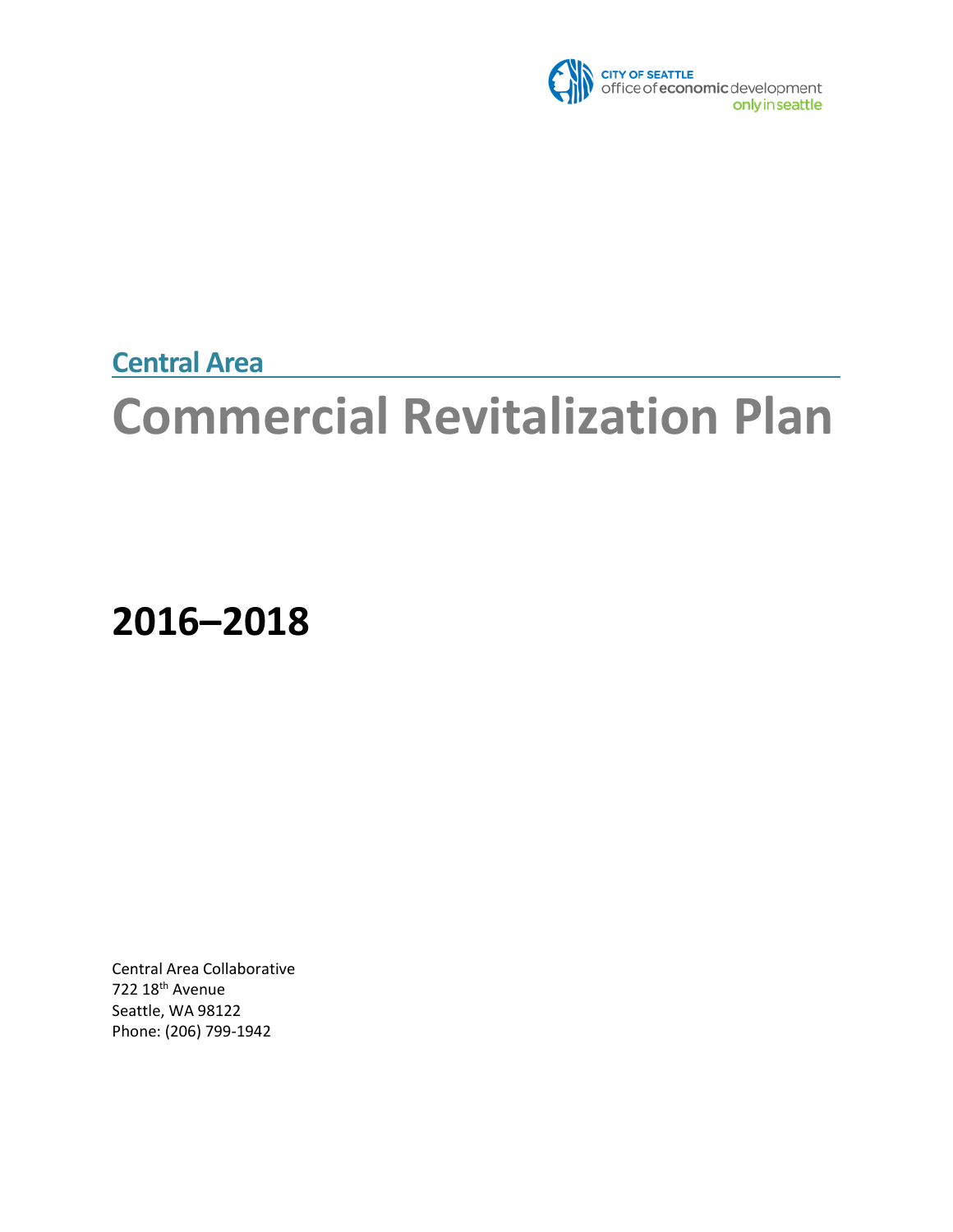

**Central Area** 

# **Commercial Revitalization Plan**

**2016–2018**

Central Area Collaborative 722 18th Avenue Seattle, WA 98122 Phone: (206) 799-1942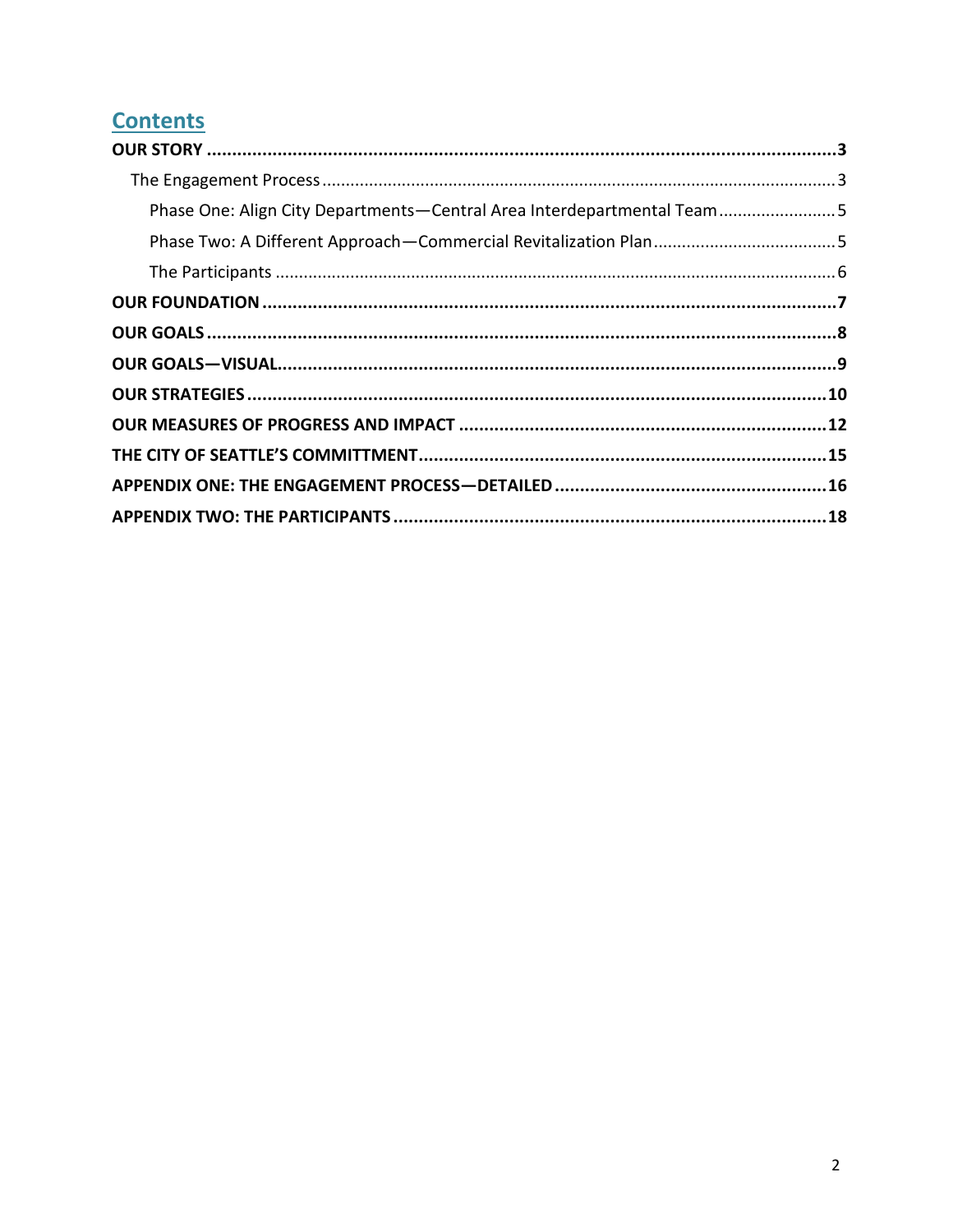# **Contents**

| Phase One: Align City Departments-Central Area Interdepartmental Team5 |  |
|------------------------------------------------------------------------|--|
|                                                                        |  |
|                                                                        |  |
|                                                                        |  |
|                                                                        |  |
|                                                                        |  |
|                                                                        |  |
|                                                                        |  |
|                                                                        |  |
|                                                                        |  |
|                                                                        |  |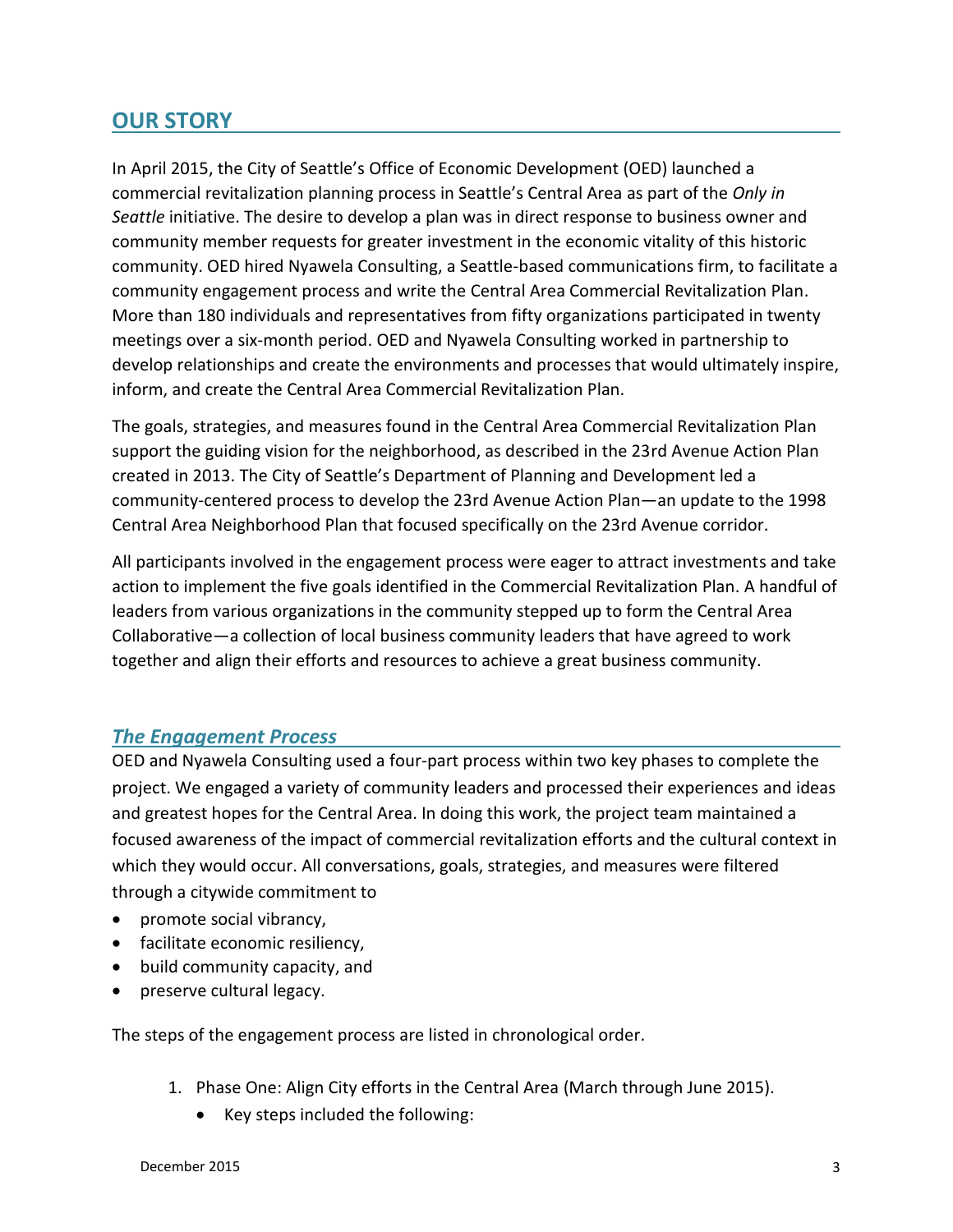## <span id="page-2-0"></span>**OUR STORY**

In April 2015, the City of Seattle's Office of Economic Development (OED) launched a commercial revitalization planning process in Seattle's Central Area as part of the *Only in Seattle* initiative. The desire to develop a plan was in direct response to business owner and community member requests for greater investment in the economic vitality of this historic community. OED hired Nyawela Consulting, a Seattle-based communications firm, to facilitate a community engagement process and write the Central Area Commercial Revitalization Plan. More than 180 individuals and representatives from fifty organizations participated in twenty meetings over a six-month period. OED and Nyawela Consulting worked in partnership to develop relationships and create the environments and processes that would ultimately inspire, inform, and create the Central Area Commercial Revitalization Plan.

The goals, strategies, and measures found in the Central Area Commercial Revitalization Plan support the guiding vision for the neighborhood, as described in the 23rd Avenue Action Plan created in 2013. The City of Seattle's Department of Planning and Development led a community-centered process to develop the 23rd Avenue Action Plan—an update to the 1998 Central Area Neighborhood Plan that focused specifically on the 23rd Avenue corridor.

All participants involved in the engagement process were eager to attract investments and take action to implement the five goals identified in the Commercial Revitalization Plan. A handful of leaders from various organizations in the community stepped up to form the Central Area Collaborative—a collection of local business community leaders that have agreed to work together and align their efforts and resources to achieve a great business community.

#### <span id="page-2-1"></span>*The Engagement Process*

OED and Nyawela Consulting used a four-part process within two key phases to complete the project. We engaged a variety of community leaders and processed their experiences and ideas and greatest hopes for the Central Area. In doing this work, the project team maintained a focused awareness of the impact of commercial revitalization efforts and the cultural context in which they would occur. All conversations, goals, strategies, and measures were filtered through a citywide commitment to

- promote social vibrancy,
- facilitate economic resiliency,
- build community capacity, and
- preserve cultural legacy.

The steps of the engagement process are listed in chronological order.

- 1. Phase One: Align City efforts in the Central Area (March through June 2015).
	- Key steps included the following: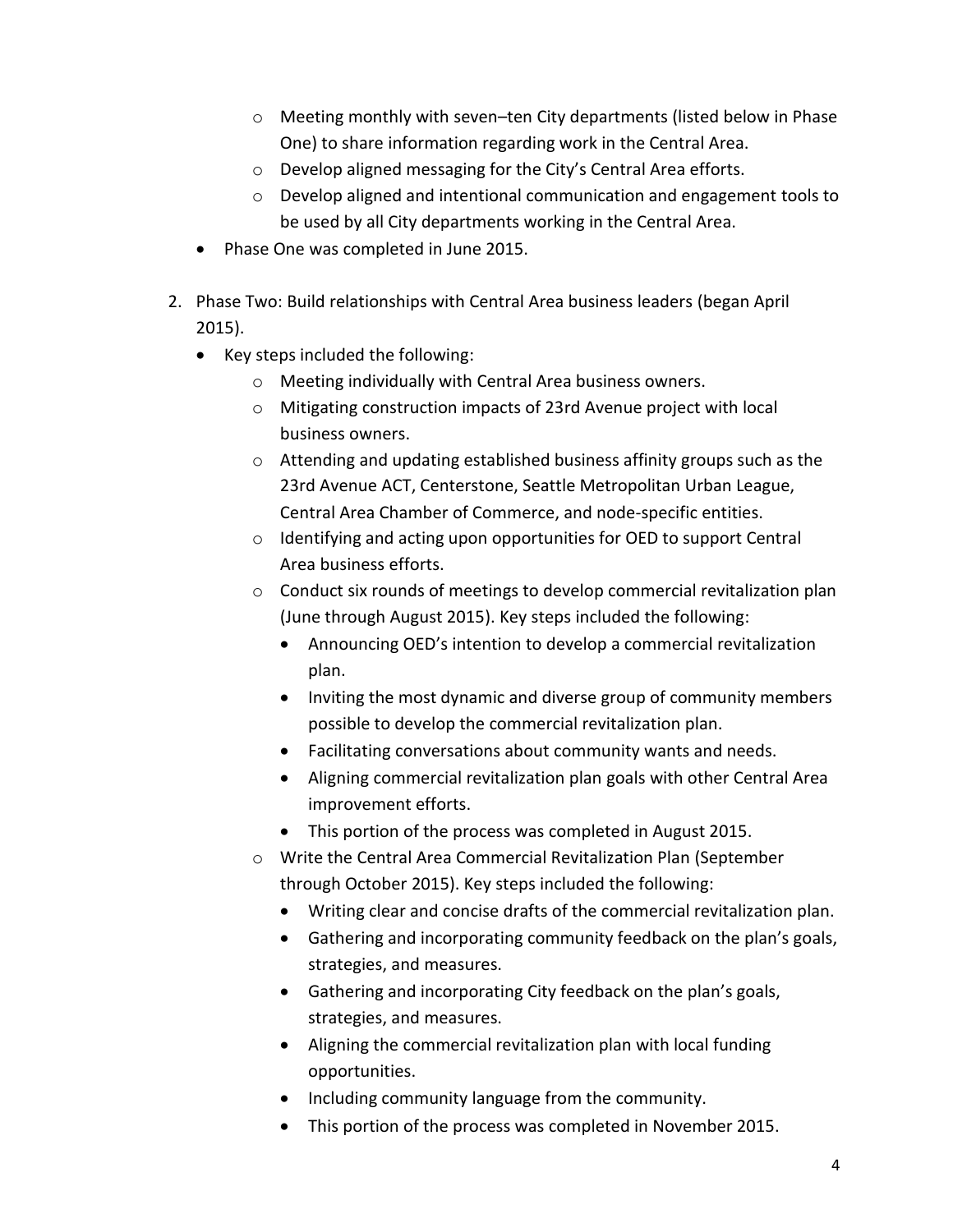- o Meeting monthly with seven–ten City departments (listed below in Phase One) to share information regarding work in the Central Area.
- o Develop aligned messaging for the City's Central Area efforts.
- o Develop aligned and intentional communication and engagement tools to be used by all City departments working in the Central Area.
- Phase One was completed in June 2015.
- 2. Phase Two: Build relationships with Central Area business leaders (began April 2015).
	- Key steps included the following:
		- o Meeting individually with Central Area business owners.
		- o Mitigating construction impacts of 23rd Avenue project with local business owners.
		- o Attending and updating established business affinity groups such as the 23rd Avenue ACT, Centerstone, Seattle Metropolitan Urban League, Central Area Chamber of Commerce, and node-specific entities.
		- o Identifying and acting upon opportunities for OED to support Central Area business efforts.
		- o Conduct six rounds of meetings to develop commercial revitalization plan (June through August 2015). Key steps included the following:
			- Announcing OED's intention to develop a commercial revitalization plan.
			- Inviting the most dynamic and diverse group of community members possible to develop the commercial revitalization plan.
			- Facilitating conversations about community wants and needs.
			- Aligning commercial revitalization plan goals with other Central Area improvement efforts.
			- This portion of the process was completed in August 2015.
		- o Write the Central Area Commercial Revitalization Plan (September through October 2015). Key steps included the following:
			- Writing clear and concise drafts of the commercial revitalization plan.
			- Gathering and incorporating community feedback on the plan's goals, strategies, and measures.
			- Gathering and incorporating City feedback on the plan's goals, strategies, and measures.
			- Aligning the commercial revitalization plan with local funding opportunities.
			- Including community language from the community.
			- This portion of the process was completed in November 2015.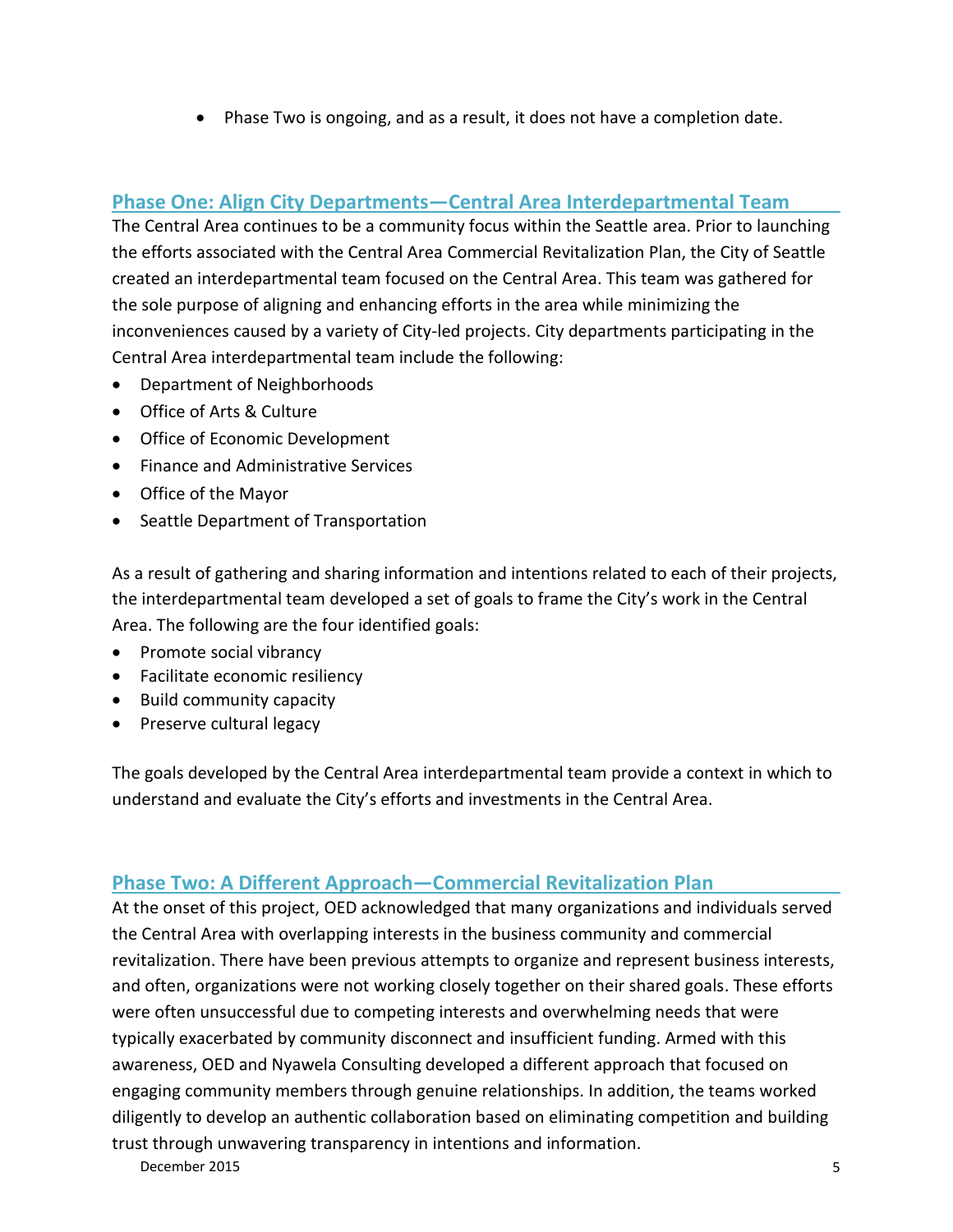Phase Two is ongoing, and as a result, it does not have a completion date.

#### <span id="page-4-0"></span>**Phase One: Align City Departments—Central Area Interdepartmental Team**

The Central Area continues to be a community focus within the Seattle area. Prior to launching the efforts associated with the Central Area Commercial Revitalization Plan, the City of Seattle created an interdepartmental team focused on the Central Area. This team was gathered for the sole purpose of aligning and enhancing efforts in the area while minimizing the inconveniences caused by a variety of City-led projects. City departments participating in the Central Area interdepartmental team include the following:

- Department of Neighborhoods
- Office of Arts & Culture
- Office of Economic Development
- Finance and Administrative Services
- Office of the Mayor
- Seattle Department of Transportation

As a result of gathering and sharing information and intentions related to each of their projects, the interdepartmental team developed a set of goals to frame the City's work in the Central Area. The following are the four identified goals:

- Promote social vibrancy
- Facilitate economic resiliency
- Build community capacity
- Preserve cultural legacy

The goals developed by the Central Area interdepartmental team provide a context in which to understand and evaluate the City's efforts and investments in the Central Area.

#### <span id="page-4-1"></span>**Phase Two: A Different Approach—Commercial Revitalization Plan**

At the onset of this project, OED acknowledged that many organizations and individuals served the Central Area with overlapping interests in the business community and commercial revitalization. There have been previous attempts to organize and represent business interests, and often, organizations were not working closely together on their shared goals. These efforts were often unsuccessful due to competing interests and overwhelming needs that were typically exacerbated by community disconnect and insufficient funding. Armed with this awareness, OED and Nyawela Consulting developed a different approach that focused on engaging community members through genuine relationships. In addition, the teams worked diligently to develop an authentic collaboration based on eliminating competition and building trust through unwavering transparency in intentions and information.

December 2015 5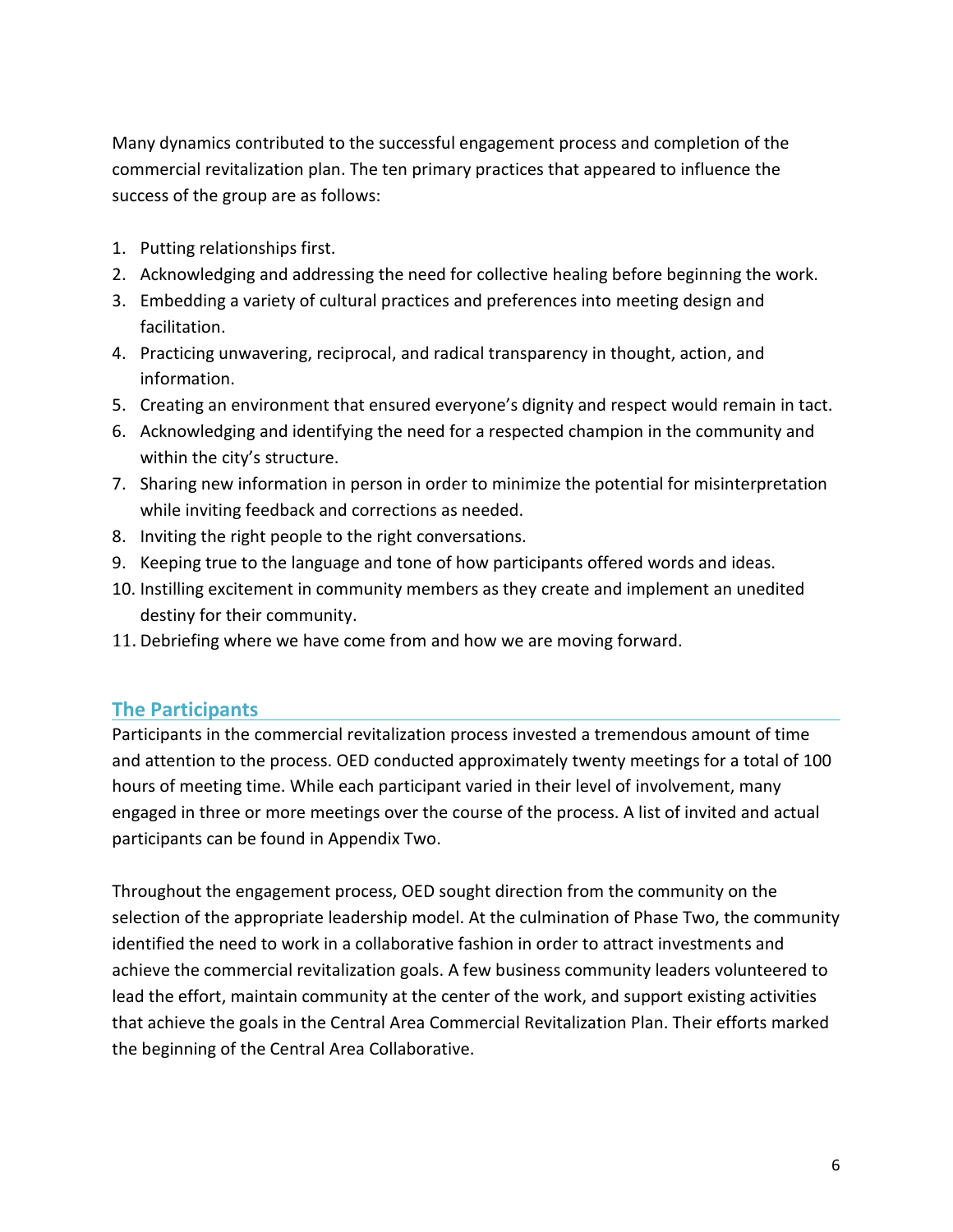Many dynamics contributed to the successful engagement process and completion of the commercial revitalization plan. The ten primary practices that appeared to influence the success of the group are as follows:

- 1. Putting relationships first.
- 2. Acknowledging and addressing the need for collective healing before beginning the work.
- 3. Embedding a variety of cultural practices and preferences into meeting design and facilitation.
- 4. Practicing unwavering, reciprocal, and radical transparency in thought, action, and information.
- 5. Creating an environment that ensured everyone's dignity and respect would remain in tact.
- 6. Acknowledging and identifying the need for a respected champion in the community and within the city's structure.
- 7. Sharing new information in person in order to minimize the potential for misinterpretation while inviting feedback and corrections as needed.
- 8. Inviting the right people to the right conversations.
- 9. Keeping true to the language and tone of how participants offered words and ideas.
- 10. Instilling excitement in community members as they create and implement an unedited destiny for their community.
- 11. Debriefing where we have come from and how we are moving forward.

### <span id="page-5-0"></span>**The Participants**

Participants in the commercial revitalization process invested a tremendous amount of time and attention to the process. OED conducted approximately twenty meetings for a total of 100 hours of meeting time. While each participant varied in their level of involvement, many engaged in three or more meetings over the course of the process. A list of invited and actual participants can be found in Appendix Two.

Throughout the engagement process, OED sought direction from the community on the selection of the appropriate leadership model. At the culmination of Phase Two, the community identified the need to work in a collaborative fashion in order to attract investments and achieve the commercial revitalization goals. A few business community leaders volunteered to lead the effort, maintain community at the center of the work, and support existing activities that achieve the goals in the Central Area Commercial Revitalization Plan. Their efforts marked the beginning of the Central Area Collaborative.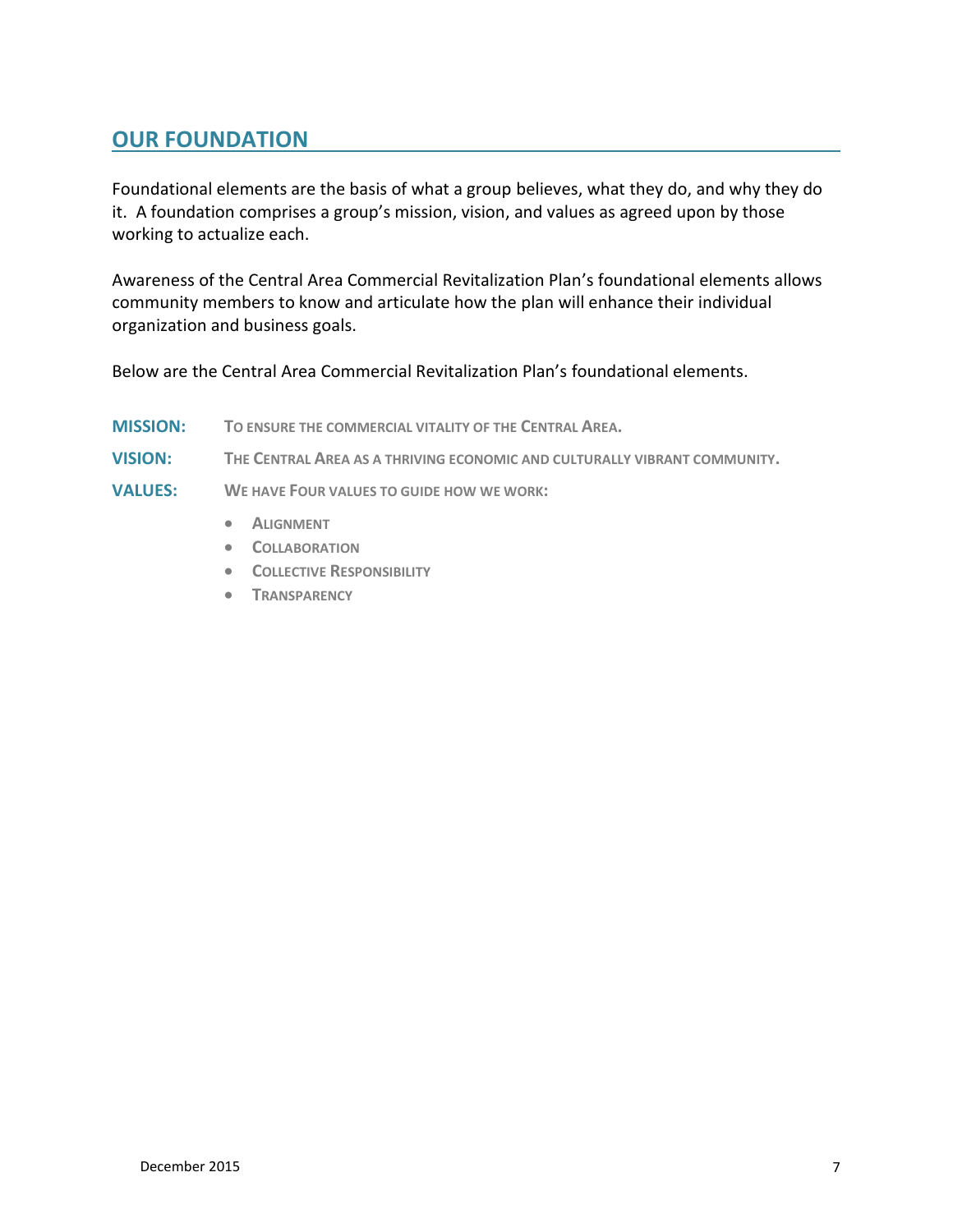## <span id="page-6-0"></span>**OUR FOUNDATION**

Foundational elements are the basis of what a group believes, what they do, and why they do it. A foundation comprises a group's mission, vision, and values as agreed upon by those working to actualize each.

Awareness of the Central Area Commercial Revitalization Plan's foundational elements allows community members to know and articulate how the plan will enhance their individual organization and business goals.

Below are the Central Area Commercial Revitalization Plan's foundational elements.

- **MISSION: TO ENSURE THE COMMERCIAL VITALITY OF THE CENTRAL AREA.**
- **VISION: THE CENTRAL AREA AS A THRIVING ECONOMIC AND CULTURALLY VIBRANT COMMUNITY.**
- **VALUES: WE HAVE FOUR VALUES TO GUIDE HOW WE WORK:**
	- **ALIGNMENT**
	- **COLLABORATION**
	- **COLLECTIVE RESPONSIBILITY**
	- **TRANSPARENCY**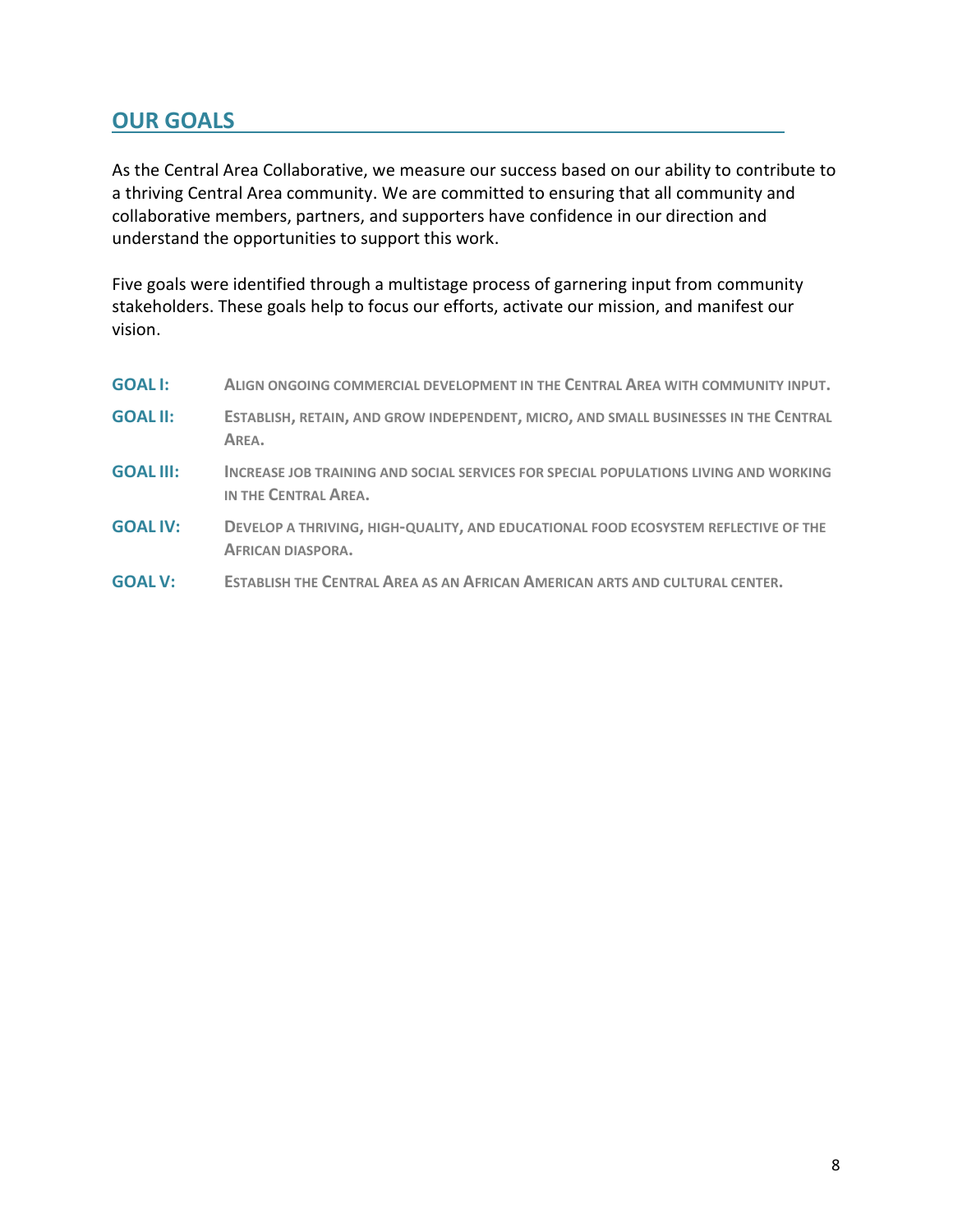## <span id="page-7-0"></span>**OUR GOALS**

As the Central Area Collaborative, we measure our success based on our ability to contribute to a thriving Central Area community. We are committed to ensuring that all community and collaborative members, partners, and supporters have confidence in our direction and understand the opportunities to support this work.

Five goals were identified through a multistage process of garnering input from community stakeholders. These goals help to focus our efforts, activate our mission, and manifest our vision.

| <b>GOALI:</b>    | ALIGN ONGOING COMMERCIAL DEVELOPMENT IN THE CENTRAL AREA WITH COMMUNITY INPUT.                                 |
|------------------|----------------------------------------------------------------------------------------------------------------|
| <b>GOAL II:</b>  | ESTABLISH, RETAIN, AND GROW INDEPENDENT, MICRO, AND SMALL BUSINESSES IN THE CENTRAL<br>AREA.                   |
| <b>GOAL III:</b> | INCREASE JOB TRAINING AND SOCIAL SERVICES FOR SPECIAL POPULATIONS LIVING AND WORKING<br>IN THE CENTRAL AREA.   |
| <b>GOAL IV:</b>  | DEVELOP A THRIVING, HIGH-QUALITY, AND EDUCATIONAL FOOD ECOSYSTEM REFLECTIVE OF THE<br><b>AFRICAN DIASPORA.</b> |
| <b>GOAL V:</b>   | <b>ESTABLISH THE CENTRAL AREA AS AN AFRICAN AMERICAN ARTS AND CULTURAL CENTER.</b>                             |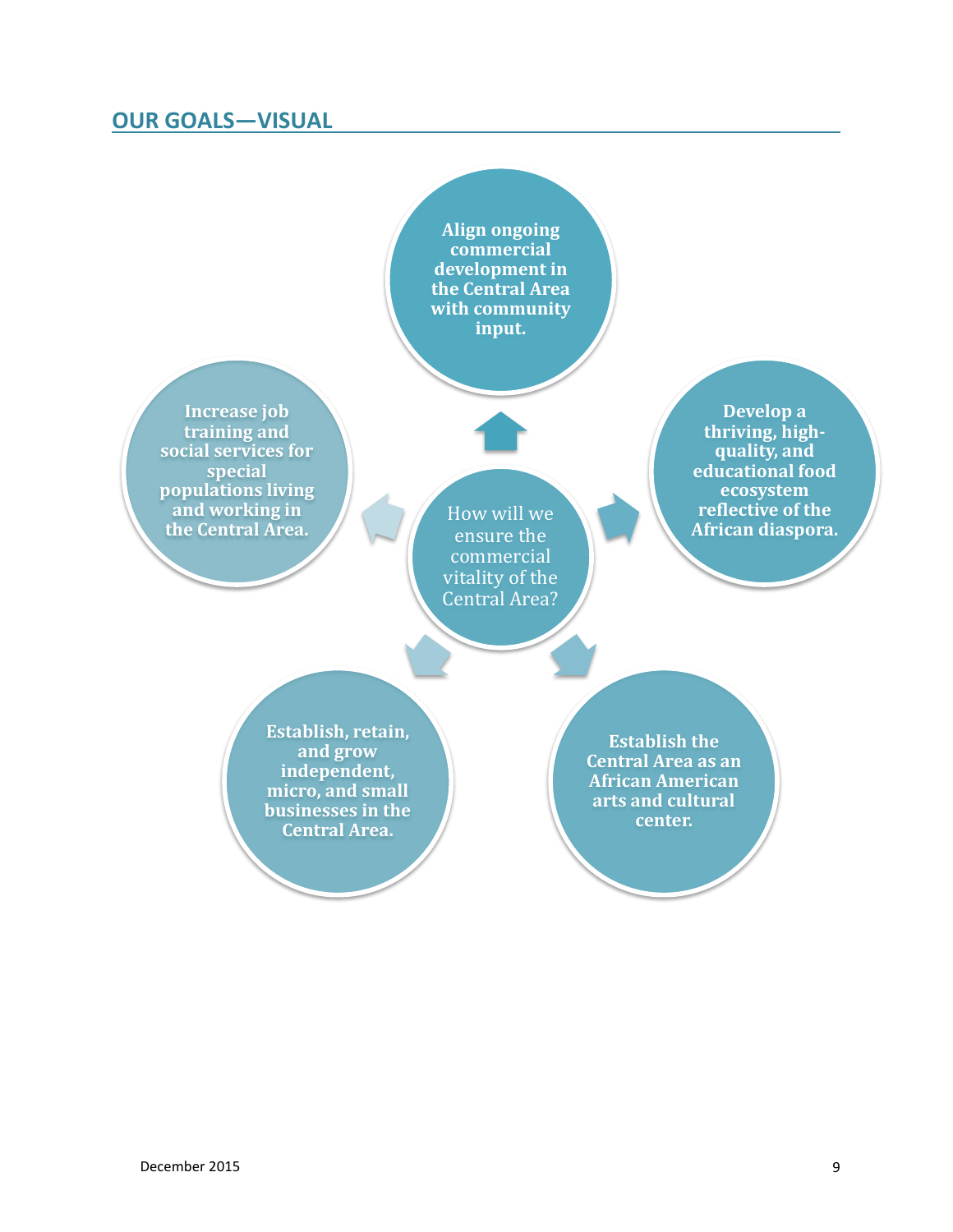## <span id="page-8-0"></span>**OUR GOALS—VISUAL**

**Align ongoing commercial development in the Central Area with community input.**

**Increase job training and social services for special populations living and working in the Central Area.**

How will we ensure the commercial vitality of the Central Area?

**Develop a thriving, highquality, and educational food ecosystem reflective of the African diaspora.**

**Establish, retain, and grow independent, micro, and small businesses in the Central Area.**

**Establish the Central Area as an African American arts and cultural center.**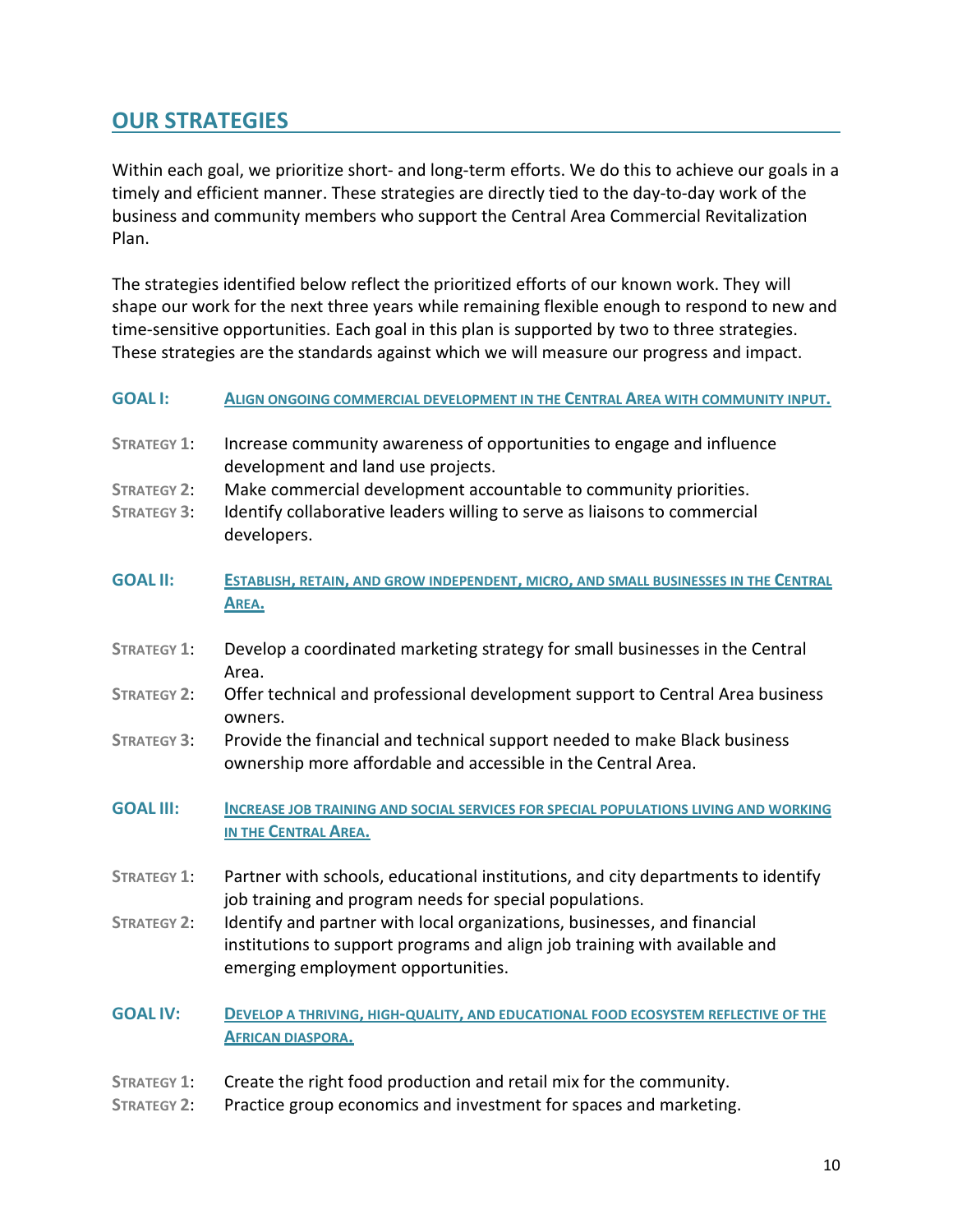## <span id="page-9-0"></span>**OUR STRATEGIES**

Within each goal, we prioritize short- and long-term efforts. We do this to achieve our goals in a timely and efficient manner. These strategies are directly tied to the day-to-day work of the business and community members who support the Central Area Commercial Revitalization Plan.

The strategies identified below reflect the prioritized efforts of our known work. They will shape our work for the next three years while remaining flexible enough to respond to new and time-sensitive opportunities. Each goal in this plan is supported by two to three strategies. These strategies are the standards against which we will measure our progress and impact.

#### **GOAL I: ALIGN ONGOING COMMERCIAL DEVELOPMENT IN THE CENTRAL AREA WITH COMMUNITY INPUT.**

- **STRATEGY 1**: Increase community awareness of opportunities to engage and influence development and land use projects.
- **STRATEGY 2**: Make commercial development accountable to community priorities.
- **STRATEGY 3**: Identify collaborative leaders willing to serve as liaisons to commercial developers.
- **GOAL II: ESTABLISH, RETAIN, AND GROW INDEPENDENT, MICRO, AND SMALL BUSINESSES IN THE CENTRAL AREA.**
- **STRATEGY 1**: Develop a coordinated marketing strategy for small businesses in the Central Area.
- **STRATEGY 2**: Offer technical and professional development support to Central Area business owners.
- **STRATEGY 3**: Provide the financial and technical support needed to make Black business ownership more affordable and accessible in the Central Area.
- **GOAL III: INCREASE JOB TRAINING AND SOCIAL SERVICES FOR SPECIAL POPULATIONS LIVING AND WORKING IN THE CENTRAL AREA.**
- **STRATEGY 1**: Partner with schools, educational institutions, and city departments to identify job training and program needs for special populations.
- **STRATEGY 2**: Identify and partner with local organizations, businesses, and financial institutions to support programs and align job training with available and emerging employment opportunities.
- **GOAL IV: DEVELOP A THRIVING, HIGH-QUALITY, AND EDUCATIONAL FOOD ECOSYSTEM REFLECTIVE OF THE AFRICAN DIASPORA.**
- **STRATEGY 1**: Create the right food production and retail mix for the community.
- **STRATEGY 2**: Practice group economics and investment for spaces and marketing.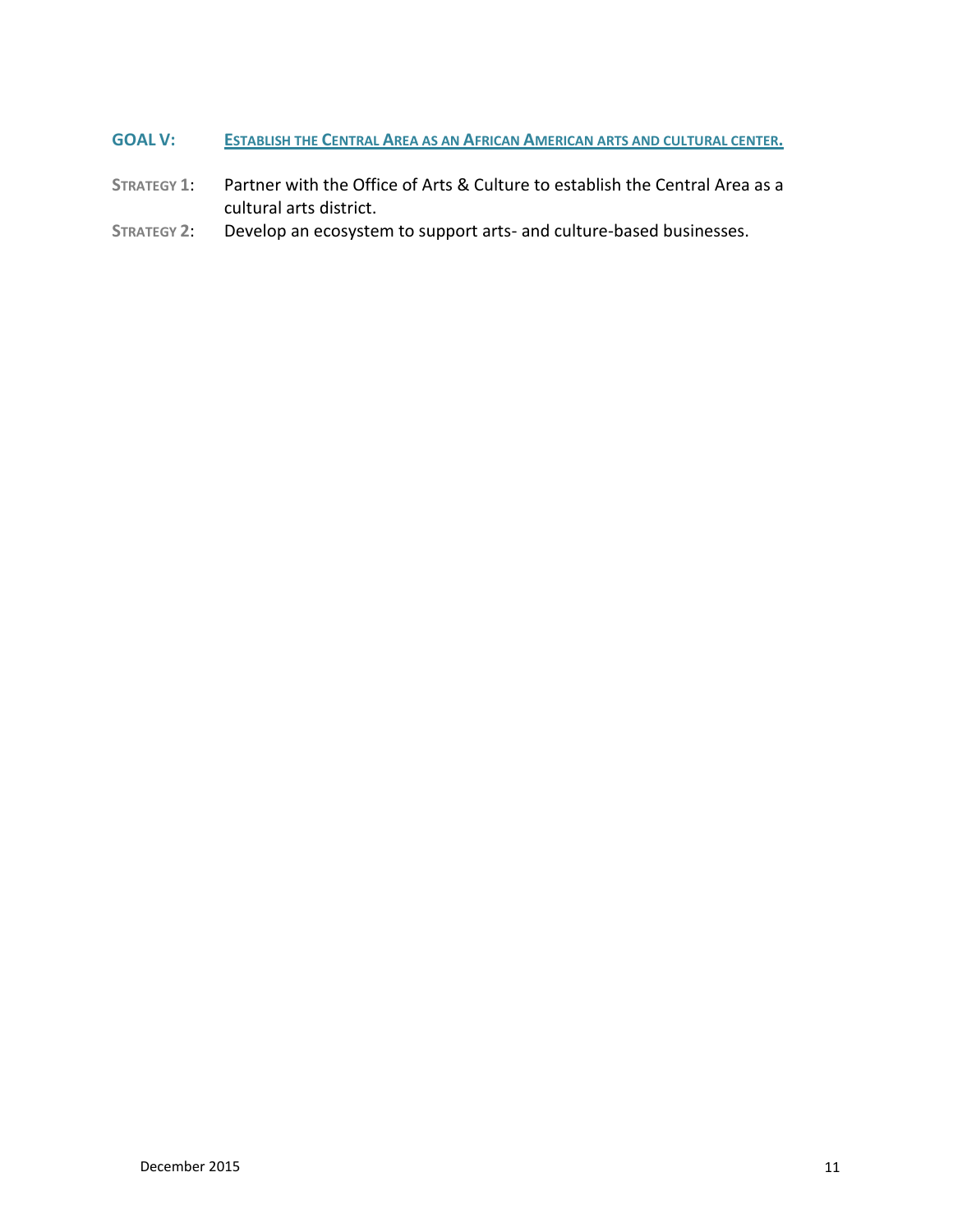- **GOAL V: ESTABLISH THE CENTRAL AREA AS AN AFRICAN AMERICAN ARTS AND CULTURAL CENTER.**
- **STRATEGY 1**: Partner with the Office of Arts & Culture to establish the Central Area as a cultural arts district.
- **STRATEGY 2**: Develop an ecosystem to support arts- and culture-based businesses.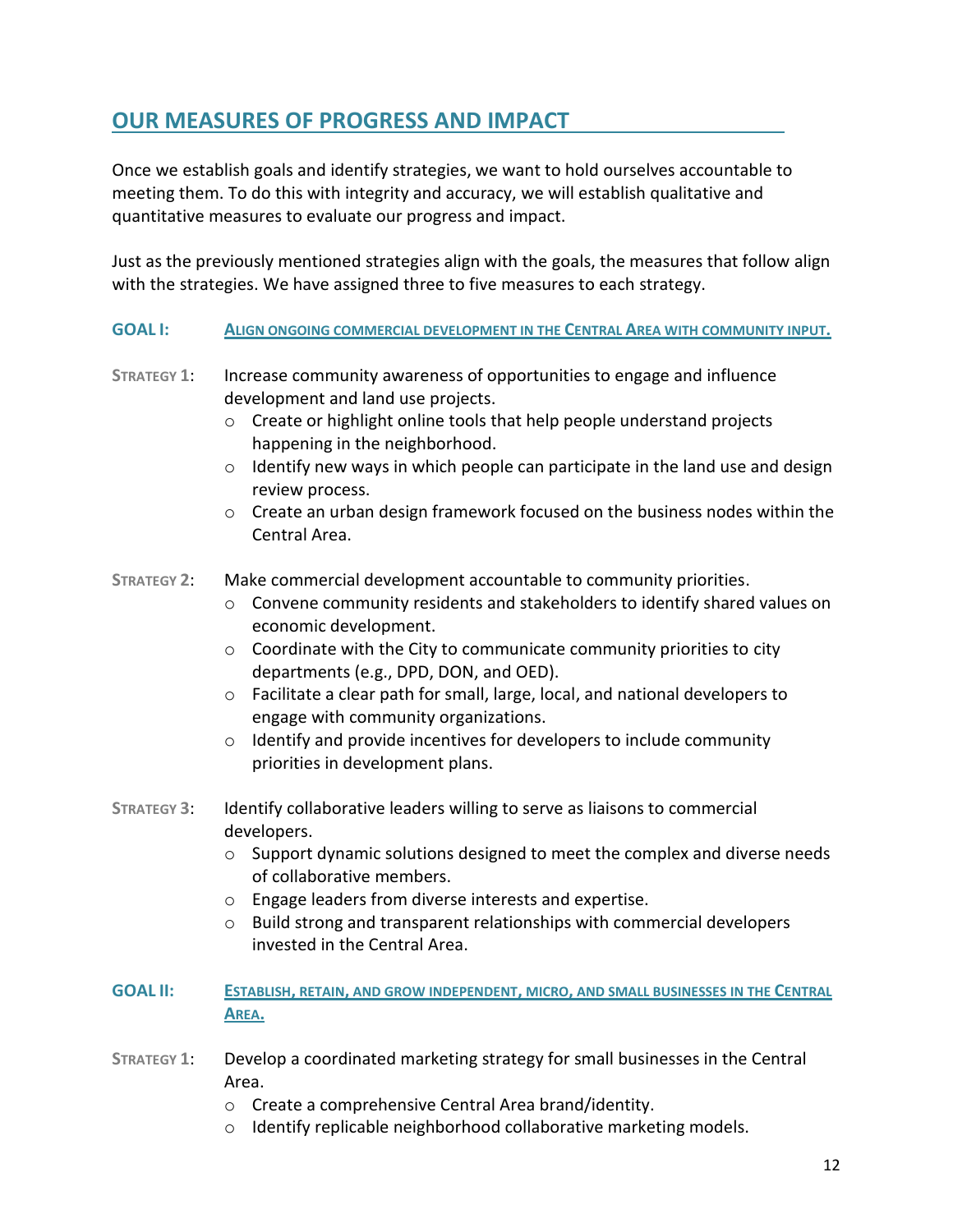## <span id="page-11-0"></span>**OUR MEASURES OF PROGRESS AND IMPACT**

Once we establish goals and identify strategies, we want to hold ourselves accountable to meeting them. To do this with integrity and accuracy, we will establish qualitative and quantitative measures to evaluate our progress and impact.

Just as the previously mentioned strategies align with the goals, the measures that follow align with the strategies. We have assigned three to five measures to each strategy.

#### **GOAL I: ALIGN ONGOING COMMERCIAL DEVELOPMENT IN THE CENTRAL AREA WITH COMMUNITY INPUT.**

- **STRATEGY 1**: Increase community awareness of opportunities to engage and influence development and land use projects.
	- o Create or highlight online tools that help people understand projects happening in the neighborhood.
	- $\circ$  Identify new ways in which people can participate in the land use and design review process.
	- $\circ$  Create an urban design framework focused on the business nodes within the Central Area.

#### **STRATEGY 2**: Make commercial development accountable to community priorities.

- $\circ$  Convene community residents and stakeholders to identify shared values on economic development.
- $\circ$  Coordinate with the City to communicate community priorities to city departments (e.g., DPD, DON, and OED).
- $\circ$  Facilitate a clear path for small, large, local, and national developers to engage with community organizations.
- $\circ$  Identify and provide incentives for developers to include community priorities in development plans.
- **STRATEGY 3**: Identify collaborative leaders willing to serve as liaisons to commercial developers.
	- $\circ$  Support dynamic solutions designed to meet the complex and diverse needs of collaborative members.
	- o Engage leaders from diverse interests and expertise.
	- o Build strong and transparent relationships with commercial developers invested in the Central Area.
- **GOAL II: ESTABLISH, RETAIN, AND GROW INDEPENDENT, MICRO, AND SMALL BUSINESSES IN THE CENTRAL AREA.**
- **STRATEGY 1**: Develop a coordinated marketing strategy for small businesses in the Central Area.
	- o Create a comprehensive Central Area brand/identity.
	- o Identify replicable neighborhood collaborative marketing models.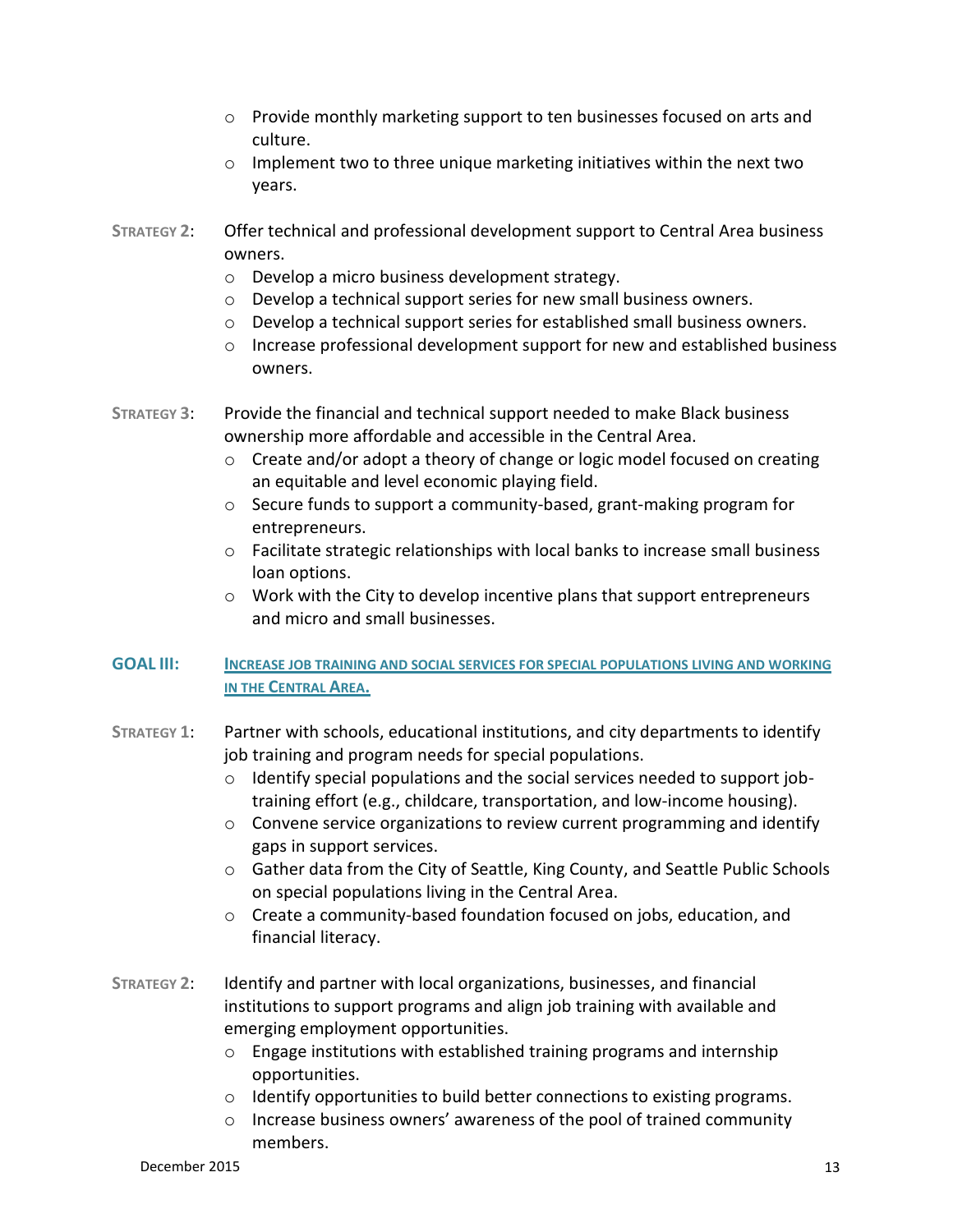- $\circ$  Provide monthly marketing support to ten businesses focused on arts and culture.
- $\circ$  Implement two to three unique marketing initiatives within the next two years.
- **STRATEGY 2**: Offer technical and professional development support to Central Area business owners.
	- o Develop a micro business development strategy.
	- o Develop a technical support series for new small business owners.
	- $\circ$  Develop a technical support series for established small business owners.
	- $\circ$  Increase professional development support for new and established business owners.
- **STRATEGY 3**: Provide the financial and technical support needed to make Black business ownership more affordable and accessible in the Central Area.
	- $\circ$  Create and/or adopt a theory of change or logic model focused on creating an equitable and level economic playing field.
	- o Secure funds to support a community-based, grant-making program for entrepreneurs.
	- $\circ$  Facilitate strategic relationships with local banks to increase small business loan options.
	- $\circ$  Work with the City to develop incentive plans that support entrepreneurs and micro and small businesses.

#### **GOAL III: INCREASE JOB TRAINING AND SOCIAL SERVICES FOR SPECIAL POPULATIONS LIVING AND WORKING IN THE CENTRAL AREA.**

- **STRATEGY 1**: Partner with schools, educational institutions, and city departments to identify job training and program needs for special populations.
	- o Identify special populations and the social services needed to support jobtraining effort (e.g., childcare, transportation, and low-income housing).
	- $\circ$  Convene service organizations to review current programming and identify gaps in support services.
	- o Gather data from the City of Seattle, King County, and Seattle Public Schools on special populations living in the Central Area.
	- o Create a community-based foundation focused on jobs, education, and financial literacy.
- **STRATEGY 2**: Identify and partner with local organizations, businesses, and financial institutions to support programs and align job training with available and emerging employment opportunities.
	- o Engage institutions with established training programs and internship opportunities.
	- $\circ$  Identify opportunities to build better connections to existing programs.
	- o Increase business owners' awareness of the pool of trained community members.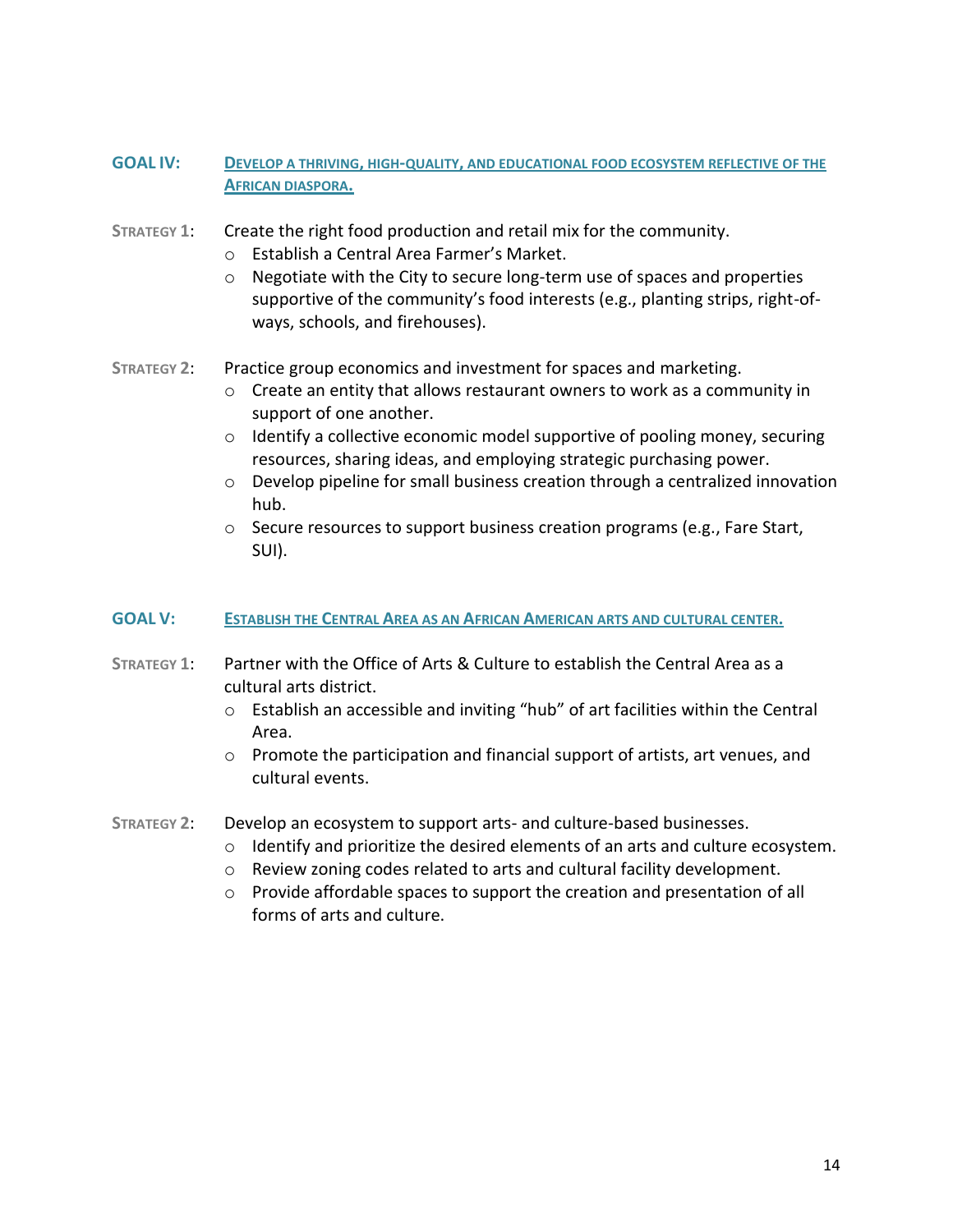- **GOAL IV: DEVELOP A THRIVING, HIGH-QUALITY, AND EDUCATIONAL FOOD ECOSYSTEM REFLECTIVE OF THE AFRICAN DIASPORA.**
- **STRATEGY 1**: Create the right food production and retail mix for the community.
	- o Establish a Central Area Farmer's Market.
	- o Negotiate with the City to secure long-term use of spaces and properties supportive of the community's food interests (e.g., planting strips, right-ofways, schools, and firehouses).
- **STRATEGY 2**: Practice group economics and investment for spaces and marketing.
	- $\circ$  Create an entity that allows restaurant owners to work as a community in support of one another.
	- o Identify a collective economic model supportive of pooling money, securing resources, sharing ideas, and employing strategic purchasing power.
	- $\circ$  Develop pipeline for small business creation through a centralized innovation hub.
	- o Secure resources to support business creation programs (e.g., Fare Start, SUI).

#### **GOAL V: ESTABLISH THE CENTRAL AREA AS AN AFRICAN AMERICAN ARTS AND CULTURAL CENTER.**

- **STRATEGY 1**: Partner with the Office of Arts & Culture to establish the Central Area as a cultural arts district.
	- o Establish an accessible and inviting "hub" of art facilities within the Central Area.
	- $\circ$  Promote the participation and financial support of artists, art venues, and cultural events.
- **STRATEGY 2**: Develop an ecosystem to support arts- and culture-based businesses.
	- o Identify and prioritize the desired elements of an arts and culture ecosystem.
	- o Review zoning codes related to arts and cultural facility development.
	- o Provide affordable spaces to support the creation and presentation of all forms of arts and culture.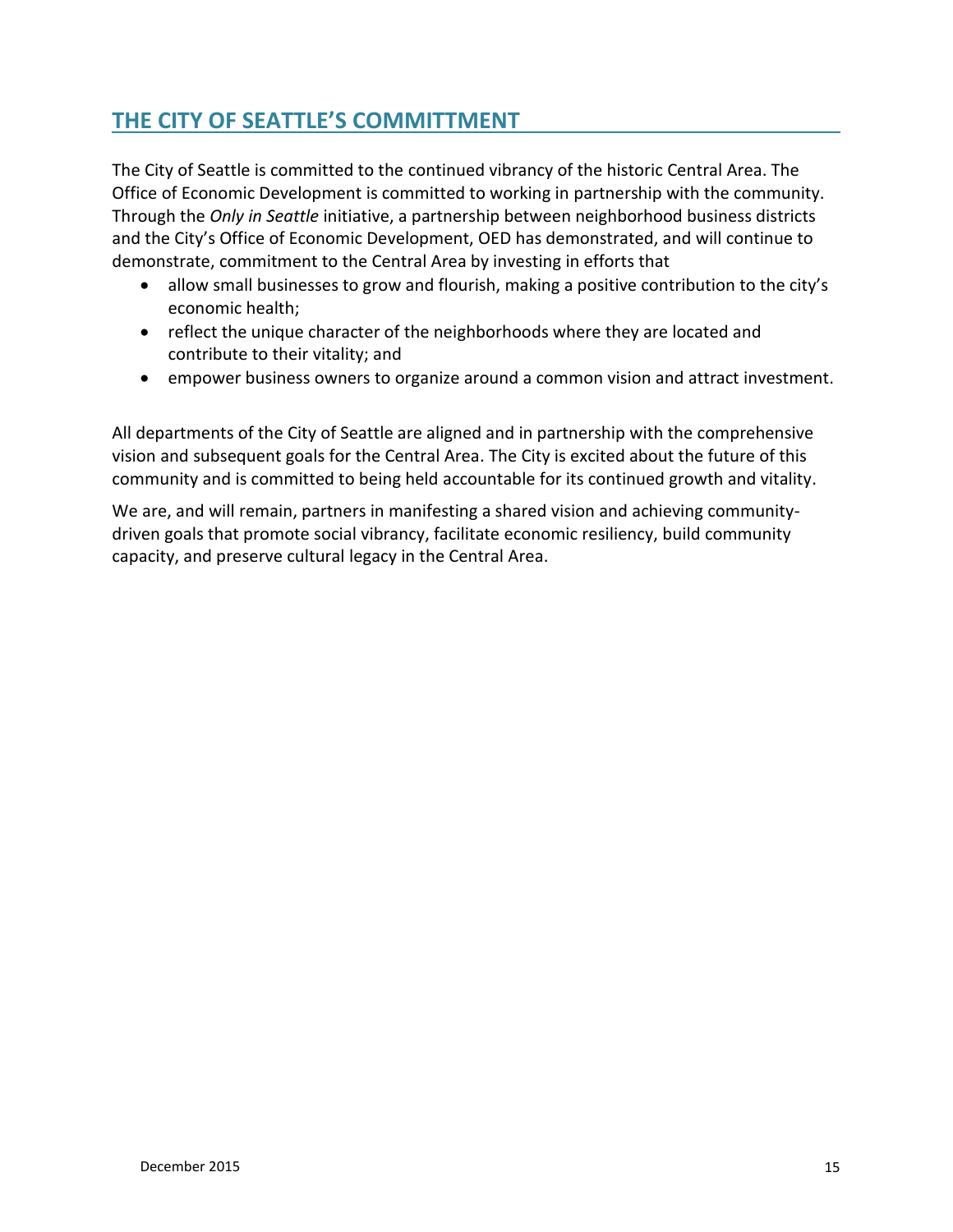# <span id="page-14-0"></span>**THE CITY OF SEATTLE'S COMMITTMENT**

The City of Seattle is committed to the continued vibrancy of the historic Central Area. The Office of Economic Development is committed to working in partnership with the community. Through the *Only in Seattle* initiative, a partnership between neighborhood business districts and the City's Office of Economic Development, OED has demonstrated, and will continue to demonstrate, commitment to the Central Area by investing in efforts that

- allow small businesses to grow and flourish, making a positive contribution to the city's economic health;
- reflect the unique character of the neighborhoods where they are located and contribute to their vitality; and
- empower business owners to organize around a common vision and attract investment.

All departments of the City of Seattle are aligned and in partnership with the comprehensive vision and subsequent goals for the Central Area. The City is excited about the future of this community and is committed to being held accountable for its continued growth and vitality.

We are, and will remain, partners in manifesting a shared vision and achieving communitydriven goals that promote social vibrancy, facilitate economic resiliency, build community capacity, and preserve cultural legacy in the Central Area.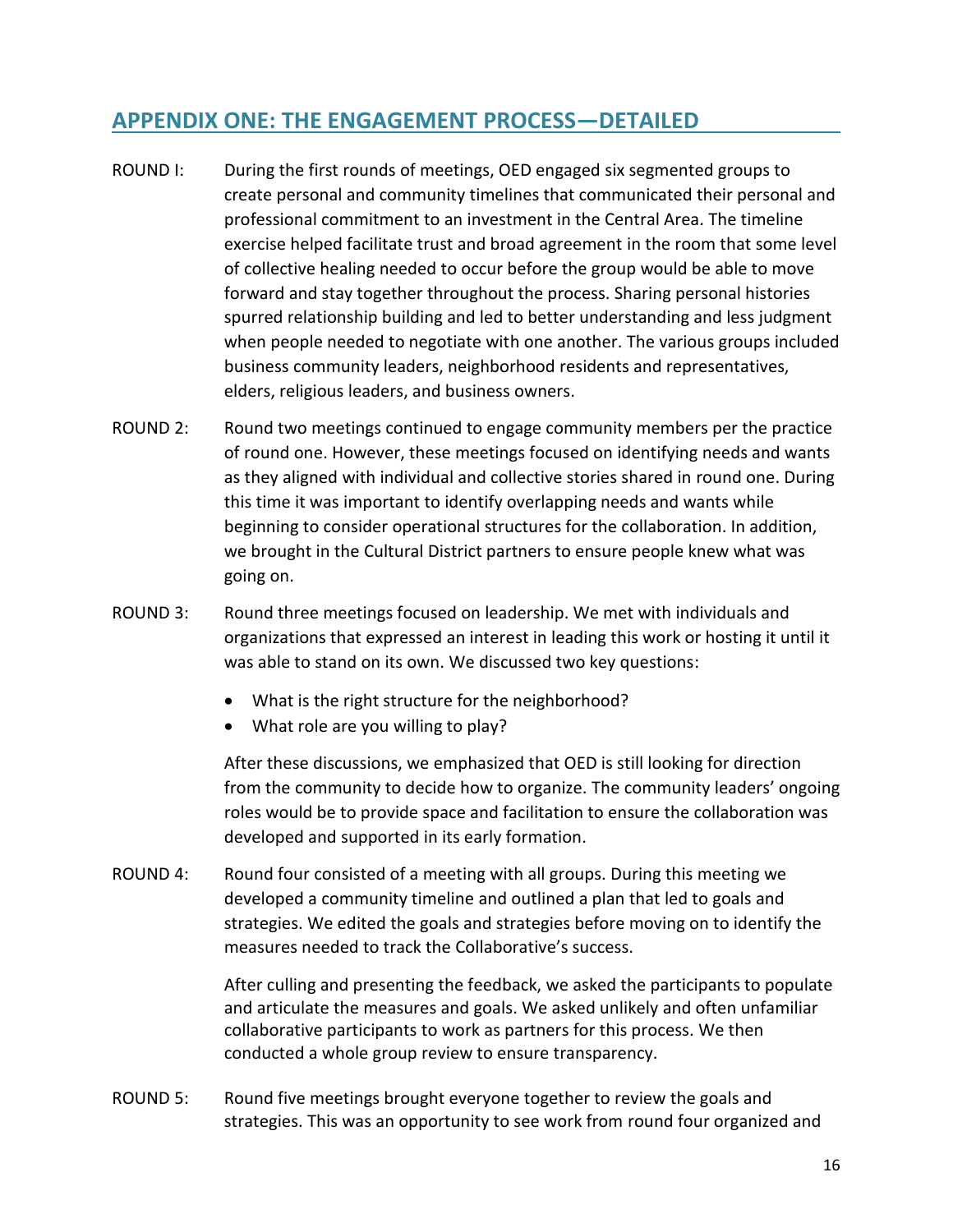## <span id="page-15-0"></span>**APPENDIX ONE: THE ENGAGEMENT PROCESS—DETAILED**

- ROUND I: During the first rounds of meetings, OED engaged six segmented groups to create personal and community timelines that communicated their personal and professional commitment to an investment in the Central Area. The timeline exercise helped facilitate trust and broad agreement in the room that some level of collective healing needed to occur before the group would be able to move forward and stay together throughout the process. Sharing personal histories spurred relationship building and led to better understanding and less judgment when people needed to negotiate with one another. The various groups included business community leaders, neighborhood residents and representatives, elders, religious leaders, and business owners.
- ROUND 2: Round two meetings continued to engage community members per the practice of round one. However, these meetings focused on identifying needs and wants as they aligned with individual and collective stories shared in round one. During this time it was important to identify overlapping needs and wants while beginning to consider operational structures for the collaboration. In addition, we brought in the Cultural District partners to ensure people knew what was going on.
- ROUND 3: Round three meetings focused on leadership. We met with individuals and organizations that expressed an interest in leading this work or hosting it until it was able to stand on its own. We discussed two key questions:
	- What is the right structure for the neighborhood?
	- What role are you willing to play?

After these discussions, we emphasized that OED is still looking for direction from the community to decide how to organize. The community leaders' ongoing roles would be to provide space and facilitation to ensure the collaboration was developed and supported in its early formation.

ROUND 4: Round four consisted of a meeting with all groups. During this meeting we developed a community timeline and outlined a plan that led to goals and strategies. We edited the goals and strategies before moving on to identify the measures needed to track the Collaborative's success.

> After culling and presenting the feedback, we asked the participants to populate and articulate the measures and goals. We asked unlikely and often unfamiliar collaborative participants to work as partners for this process. We then conducted a whole group review to ensure transparency.

ROUND 5: Round five meetings brought everyone together to review the goals and strategies. This was an opportunity to see work from round four organized and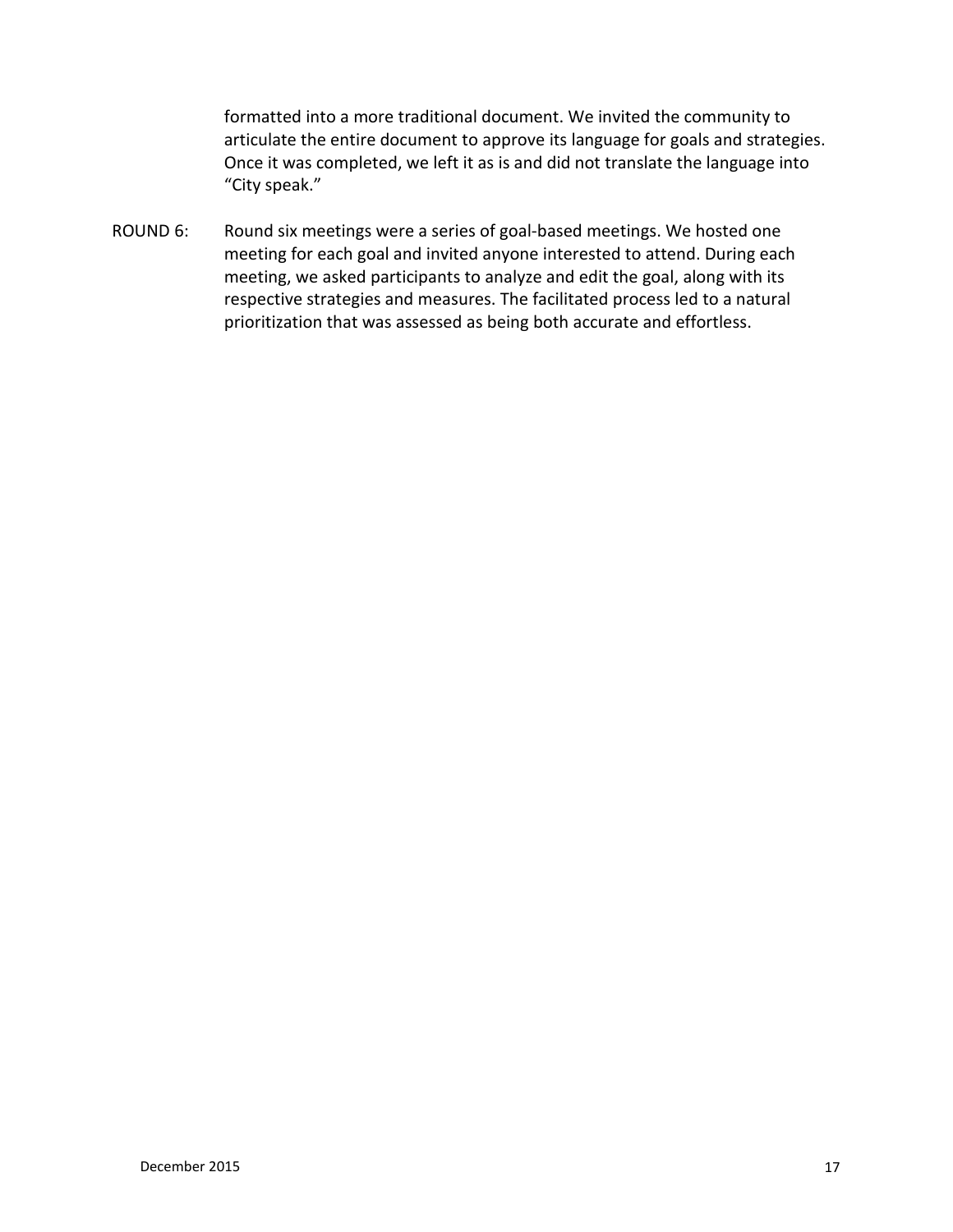formatted into a more traditional document. We invited the community to articulate the entire document to approve its language for goals and strategies. Once it was completed, we left it as is and did not translate the language into "City speak."

ROUND 6: Round six meetings were a series of goal-based meetings. We hosted one meeting for each goal and invited anyone interested to attend. During each meeting, we asked participants to analyze and edit the goal, along with its respective strategies and measures. The facilitated process led to a natural prioritization that was assessed as being both accurate and effortless.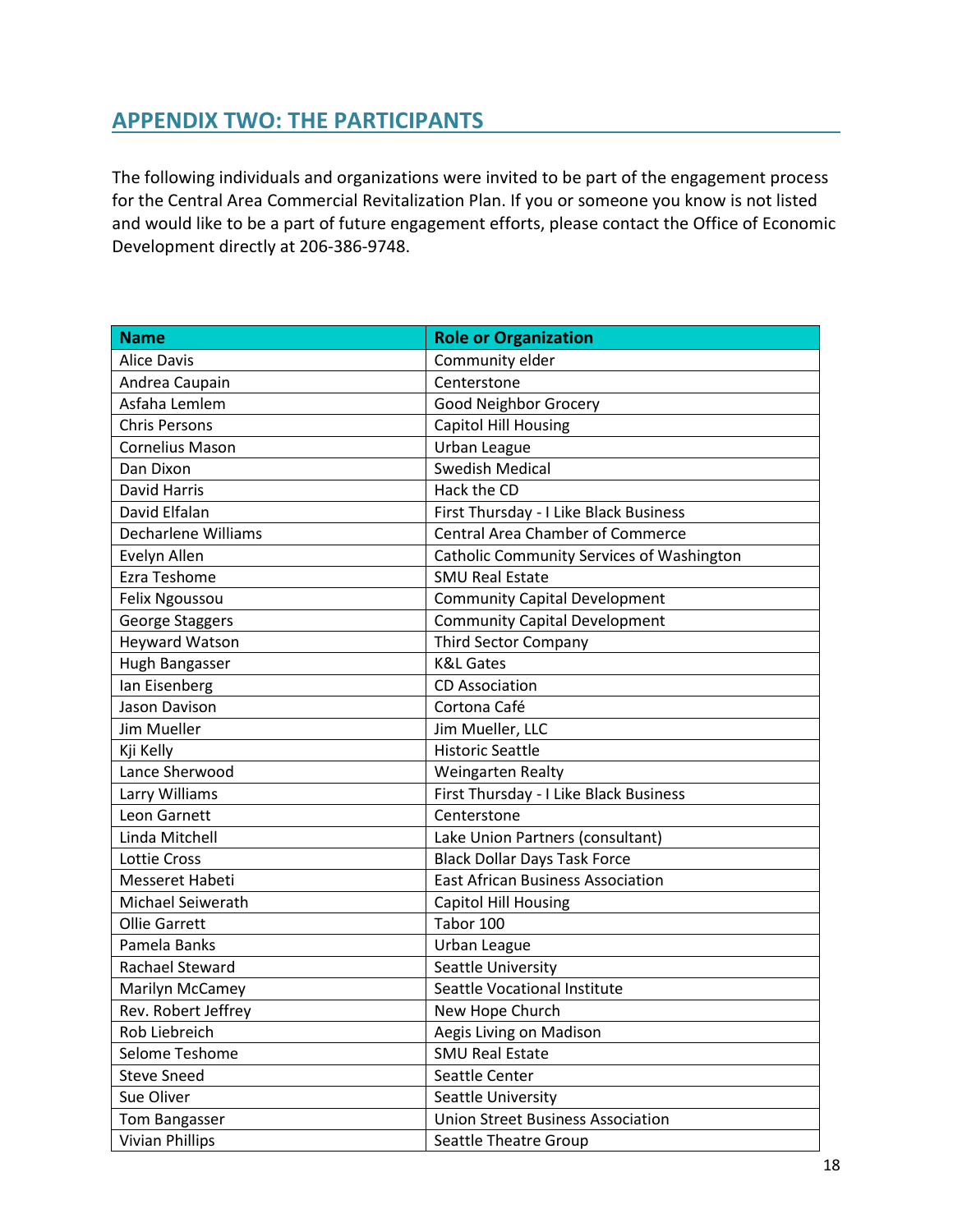## <span id="page-17-0"></span>**APPENDIX TWO: THE PARTICIPANTS**

The following individuals and organizations were invited to be part of the engagement process for the Central Area Commercial Revitalization Plan. If you or someone you know is not listed and would like to be a part of future engagement efforts, please contact the Office of Economic Development directly at 206-386-9748.

| <b>Name</b>            | <b>Role or Organization</b>               |
|------------------------|-------------------------------------------|
| <b>Alice Davis</b>     | Community elder                           |
| Andrea Caupain         | Centerstone                               |
| Asfaha Lemlem          | Good Neighbor Grocery                     |
| <b>Chris Persons</b>   | <b>Capitol Hill Housing</b>               |
| <b>Cornelius Mason</b> | Urban League                              |
| Dan Dixon              | <b>Swedish Medical</b>                    |
| <b>David Harris</b>    | Hack the CD                               |
| David Elfalan          | First Thursday - I Like Black Business    |
| Decharlene Williams    | <b>Central Area Chamber of Commerce</b>   |
| Evelyn Allen           | Catholic Community Services of Washington |
| Ezra Teshome           | <b>SMU Real Estate</b>                    |
| Felix Ngoussou         | <b>Community Capital Development</b>      |
| <b>George Staggers</b> | <b>Community Capital Development</b>      |
| <b>Heyward Watson</b>  | <b>Third Sector Company</b>               |
| Hugh Bangasser         | <b>K&amp;L Gates</b>                      |
| lan Eisenberg          | <b>CD Association</b>                     |
| Jason Davison          | Cortona Café                              |
| Jim Mueller            | Jim Mueller, LLC                          |
| Kji Kelly              | <b>Historic Seattle</b>                   |
| Lance Sherwood         | <b>Weingarten Realty</b>                  |
| Larry Williams         | First Thursday - I Like Black Business    |
| Leon Garnett           | Centerstone                               |
| Linda Mitchell         | Lake Union Partners (consultant)          |
| Lottie Cross           | <b>Black Dollar Days Task Force</b>       |
| Messeret Habeti        | <b>East African Business Association</b>  |
| Michael Seiwerath      | <b>Capitol Hill Housing</b>               |
| <b>Ollie Garrett</b>   | Tabor 100                                 |
| Pamela Banks           | Urban League                              |
| <b>Rachael Steward</b> | Seattle University                        |
| Marilyn McCamey        | Seattle Vocational Institute              |
| Rev. Robert Jeffrey    | New Hope Church                           |
| Rob Liebreich          | Aegis Living on Madison                   |
| Selome Teshome         | <b>SMU Real Estate</b>                    |
| <b>Steve Sneed</b>     | Seattle Center                            |
| Sue Oliver             | Seattle University                        |
| Tom Bangasser          | <b>Union Street Business Association</b>  |
| <b>Vivian Phillips</b> | Seattle Theatre Group                     |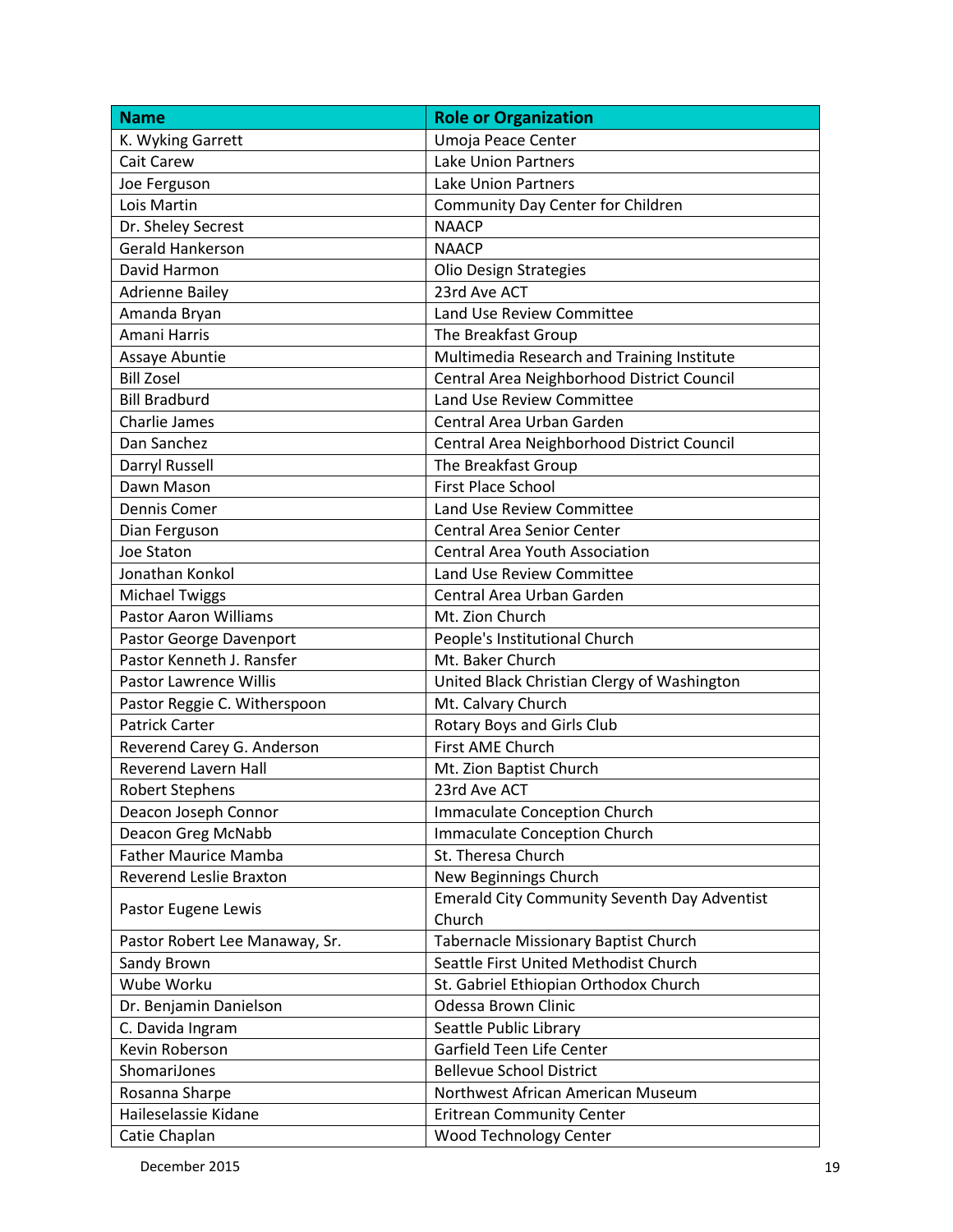| <b>Name</b>                    | <b>Role or Organization</b>                         |
|--------------------------------|-----------------------------------------------------|
| K. Wyking Garrett              | Umoja Peace Center                                  |
| <b>Cait Carew</b>              | <b>Lake Union Partners</b>                          |
| Joe Ferguson                   | <b>Lake Union Partners</b>                          |
| Lois Martin                    | Community Day Center for Children                   |
| Dr. Sheley Secrest             | <b>NAACP</b>                                        |
| <b>Gerald Hankerson</b>        | <b>NAACP</b>                                        |
| David Harmon                   | <b>Olio Design Strategies</b>                       |
| <b>Adrienne Bailey</b>         | 23rd Ave ACT                                        |
| Amanda Bryan                   | Land Use Review Committee                           |
| Amani Harris                   | The Breakfast Group                                 |
| Assaye Abuntie                 | Multimedia Research and Training Institute          |
| <b>Bill Zosel</b>              | Central Area Neighborhood District Council          |
| <b>Bill Bradburd</b>           | Land Use Review Committee                           |
| <b>Charlie James</b>           | Central Area Urban Garden                           |
| Dan Sanchez                    | Central Area Neighborhood District Council          |
| Darryl Russell                 | The Breakfast Group                                 |
| Dawn Mason                     | <b>First Place School</b>                           |
| Dennis Comer                   | Land Use Review Committee                           |
| Dian Ferguson                  | <b>Central Area Senior Center</b>                   |
| Joe Staton                     | <b>Central Area Youth Association</b>               |
| Jonathan Konkol                | Land Use Review Committee                           |
| <b>Michael Twiggs</b>          | Central Area Urban Garden                           |
| <b>Pastor Aaron Williams</b>   | Mt. Zion Church                                     |
| Pastor George Davenport        | People's Institutional Church                       |
| Pastor Kenneth J. Ransfer      | Mt. Baker Church                                    |
| Pastor Lawrence Willis         | United Black Christian Clergy of Washington         |
| Pastor Reggie C. Witherspoon   | Mt. Calvary Church                                  |
| <b>Patrick Carter</b>          | <b>Rotary Boys and Girls Club</b>                   |
| Reverend Carey G. Anderson     | First AME Church                                    |
| <b>Reverend Lavern Hall</b>    | Mt. Zion Baptist Church                             |
| <b>Robert Stephens</b>         | 23rd Ave ACT                                        |
| Deacon Joseph Connor           | <b>Immaculate Conception Church</b>                 |
| Deacon Greg McNabb             | Immaculate Conception Church                        |
| <b>Father Maurice Mamba</b>    | St. Theresa Church                                  |
| Reverend Leslie Braxton        | New Beginnings Church                               |
|                                | <b>Emerald City Community Seventh Day Adventist</b> |
| Pastor Eugene Lewis            | Church                                              |
| Pastor Robert Lee Manaway, Sr. | Tabernacle Missionary Baptist Church                |
| Sandy Brown                    | Seattle First United Methodist Church               |
| Wube Worku                     | St. Gabriel Ethiopian Orthodox Church               |
| Dr. Benjamin Danielson         | Odessa Brown Clinic                                 |
| C. Davida Ingram               | Seattle Public Library                              |
| Kevin Roberson                 | Garfield Teen Life Center                           |
| ShomariJones                   | <b>Bellevue School District</b>                     |
| Rosanna Sharpe                 | Northwest African American Museum                   |
| Haileselassie Kidane           | <b>Eritrean Community Center</b>                    |
| Catie Chaplan                  | Wood Technology Center                              |

December 2015 19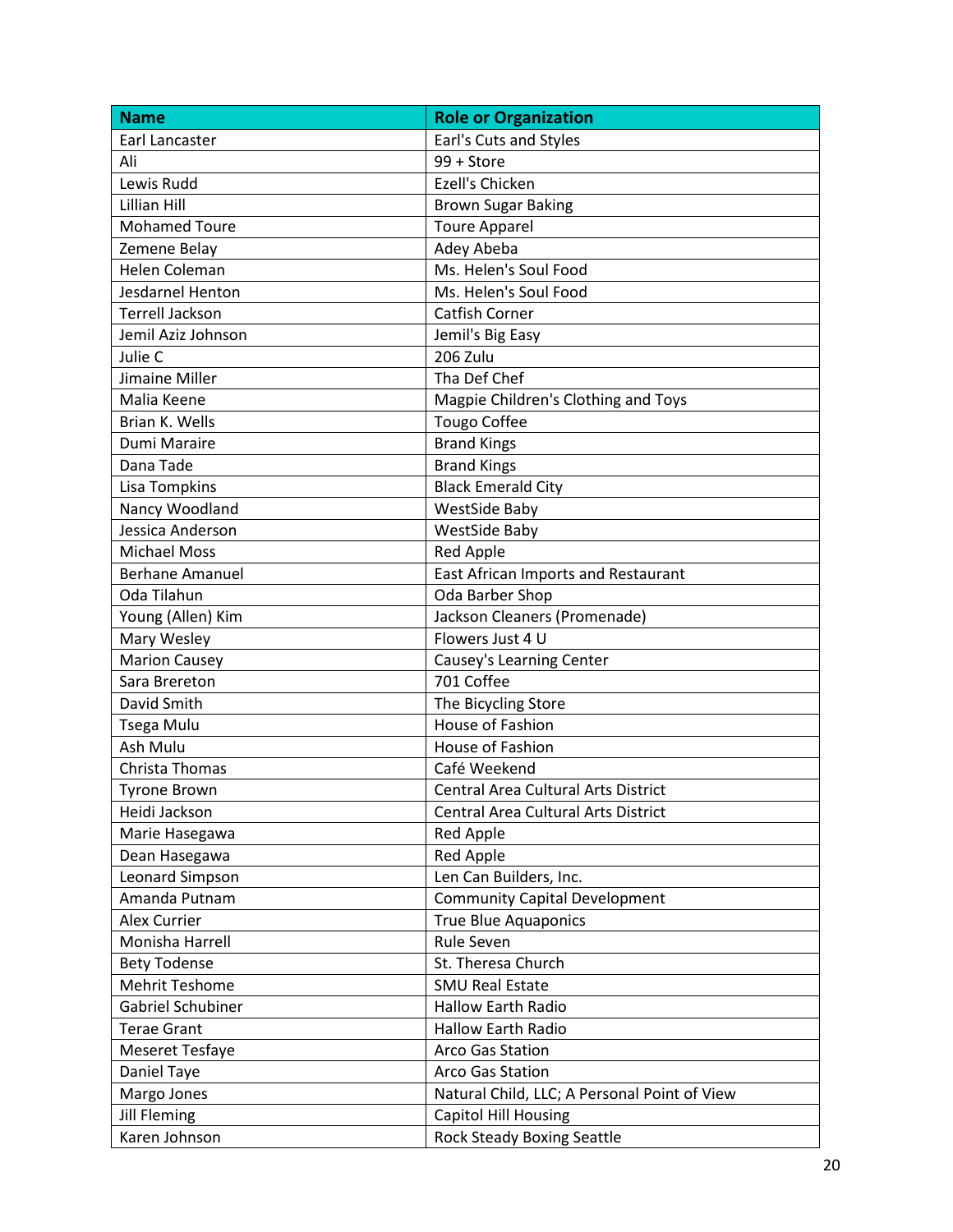| <b>Name</b>            | <b>Role or Organization</b>                  |
|------------------------|----------------------------------------------|
| Earl Lancaster         | Earl's Cuts and Styles                       |
| Ali                    | 99 + Store                                   |
| Lewis Rudd             | Ezell's Chicken                              |
| <b>Lillian Hill</b>    | <b>Brown Sugar Baking</b>                    |
| <b>Mohamed Toure</b>   | <b>Toure Apparel</b>                         |
| Zemene Belay           | Adey Abeba                                   |
| Helen Coleman          | Ms. Helen's Soul Food                        |
| Jesdarnel Henton       | Ms. Helen's Soul Food                        |
| <b>Terrell Jackson</b> | <b>Catfish Corner</b>                        |
| Jemil Aziz Johnson     | Jemil's Big Easy                             |
| Julie C                | 206 Zulu                                     |
| Jimaine Miller         | Tha Def Chef                                 |
| Malia Keene            | Magpie Children's Clothing and Toys          |
| Brian K. Wells         | <b>Tougo Coffee</b>                          |
| Dumi Maraire           | <b>Brand Kings</b>                           |
| Dana Tade              | <b>Brand Kings</b>                           |
| Lisa Tompkins          | <b>Black Emerald City</b>                    |
| Nancy Woodland         | <b>WestSide Baby</b>                         |
| Jessica Anderson       | <b>WestSide Baby</b>                         |
| <b>Michael Moss</b>    | <b>Red Apple</b>                             |
| <b>Berhane Amanuel</b> | East African Imports and Restaurant          |
| Oda Tilahun            | Oda Barber Shop                              |
| Young (Allen) Kim      | Jackson Cleaners (Promenade)                 |
| Mary Wesley            | Flowers Just 4 U                             |
| <b>Marion Causey</b>   | Causey's Learning Center                     |
| Sara Brereton          | 701 Coffee                                   |
| David Smith            | The Bicycling Store                          |
| <b>Tsega Mulu</b>      | House of Fashion                             |
| Ash Mulu               | House of Fashion                             |
| Christa Thomas         | Café Weekend                                 |
| <b>Tyrone Brown</b>    | <b>Central Area Cultural Arts District</b>   |
| Heidi Jackson          | Central Area Cultural Arts District          |
| Marie Hasegawa         | <b>Red Apple</b>                             |
| Dean Hasegawa          | <b>Red Apple</b>                             |
| Leonard Simpson        | Len Can Builders, Inc.                       |
| Amanda Putnam          | <b>Community Capital Development</b>         |
| <b>Alex Currier</b>    | <b>True Blue Aquaponics</b>                  |
| Monisha Harrell        | Rule Seven                                   |
| <b>Bety Todense</b>    | St. Theresa Church                           |
| <b>Mehrit Teshome</b>  | <b>SMU Real Estate</b>                       |
| Gabriel Schubiner      | <b>Hallow Earth Radio</b>                    |
| <b>Terae Grant</b>     | <b>Hallow Earth Radio</b>                    |
| <b>Meseret Tesfaye</b> | Arco Gas Station                             |
| Daniel Taye            | Arco Gas Station                             |
| Margo Jones            | Natural Child, LLC; A Personal Point of View |
| <b>Jill Fleming</b>    | <b>Capitol Hill Housing</b>                  |
| Karen Johnson          | <b>Rock Steady Boxing Seattle</b>            |